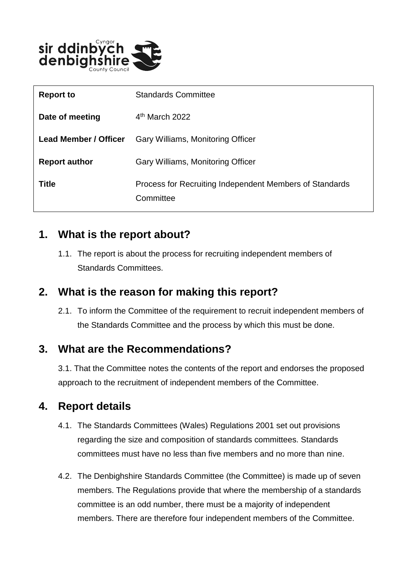

| <b>Report to</b>      | <b>Standards Committee</b>                                           |
|-----------------------|----------------------------------------------------------------------|
| Date of meeting       | $4th$ March 2022                                                     |
| Lead Member / Officer | Gary Williams, Monitoring Officer                                    |
| <b>Report author</b>  | Gary Williams, Monitoring Officer                                    |
| <b>Title</b>          | Process for Recruiting Independent Members of Standards<br>Committee |

## **1. What is the report about?**

1.1. The report is about the process for recruiting independent members of Standards Committees.

## **2. What is the reason for making this report?**

2.1. To inform the Committee of the requirement to recruit independent members of the Standards Committee and the process by which this must be done.

#### **3. What are the Recommendations?**

3.1. That the Committee notes the contents of the report and endorses the proposed approach to the recruitment of independent members of the Committee.

## **4. Report details**

- 4.1. The Standards Committees (Wales) Regulations 2001 set out provisions regarding the size and composition of standards committees. Standards committees must have no less than five members and no more than nine.
- 4.2. The Denbighshire Standards Committee (the Committee) is made up of seven members. The Regulations provide that where the membership of a standards committee is an odd number, there must be a majority of independent members. There are therefore four independent members of the Committee.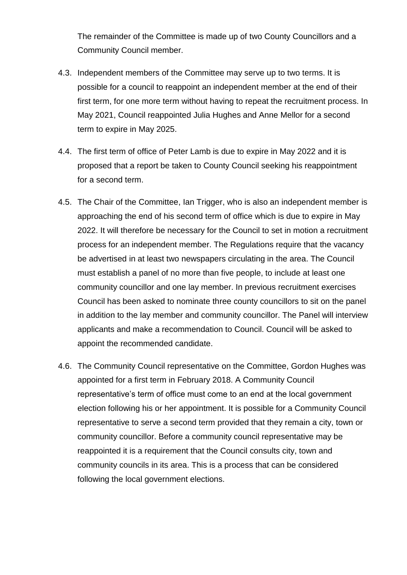The remainder of the Committee is made up of two County Councillors and a Community Council member.

- 4.3. Independent members of the Committee may serve up to two terms. It is possible for a council to reappoint an independent member at the end of their first term, for one more term without having to repeat the recruitment process. In May 2021, Council reappointed Julia Hughes and Anne Mellor for a second term to expire in May 2025.
- 4.4. The first term of office of Peter Lamb is due to expire in May 2022 and it is proposed that a report be taken to County Council seeking his reappointment for a second term.
- 4.5. The Chair of the Committee, Ian Trigger, who is also an independent member is approaching the end of his second term of office which is due to expire in May 2022. It will therefore be necessary for the Council to set in motion a recruitment process for an independent member. The Regulations require that the vacancy be advertised in at least two newspapers circulating in the area. The Council must establish a panel of no more than five people, to include at least one community councillor and one lay member. In previous recruitment exercises Council has been asked to nominate three county councillors to sit on the panel in addition to the lay member and community councillor. The Panel will interview applicants and make a recommendation to Council. Council will be asked to appoint the recommended candidate.
- 4.6. The Community Council representative on the Committee, Gordon Hughes was appointed for a first term in February 2018. A Community Council representative's term of office must come to an end at the local government election following his or her appointment. It is possible for a Community Council representative to serve a second term provided that they remain a city, town or community councillor. Before a community council representative may be reappointed it is a requirement that the Council consults city, town and community councils in its area. This is a process that can be considered following the local government elections.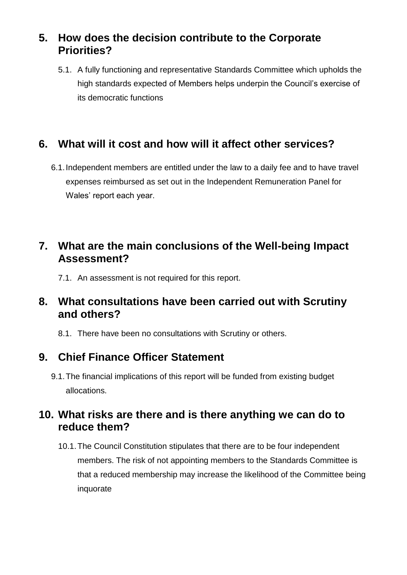# **5. How does the decision contribute to the Corporate Priorities?**

5.1. A fully functioning and representative Standards Committee which upholds the high standards expected of Members helps underpin the Council's exercise of its democratic functions

# **6. What will it cost and how will it affect other services?**

6.1.Independent members are entitled under the law to a daily fee and to have travel expenses reimbursed as set out in the Independent Remuneration Panel for Wales' report each year.

## **7. What are the main conclusions of the Well-being Impact Assessment?**

7.1. An assessment is not required for this report.

## **8. What consultations have been carried out with Scrutiny and others?**

8.1. There have been no consultations with Scrutiny or others.

## **9. Chief Finance Officer Statement**

9.1.The financial implications of this report will be funded from existing budget allocations.

#### **10. What risks are there and is there anything we can do to reduce them?**

10.1.The Council Constitution stipulates that there are to be four independent members. The risk of not appointing members to the Standards Committee is that a reduced membership may increase the likelihood of the Committee being inquorate